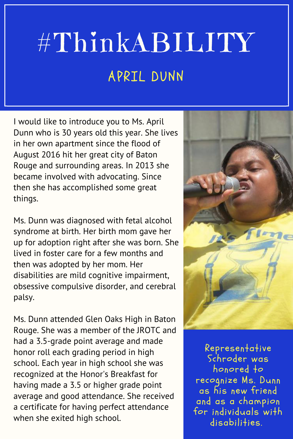## #ThinkABILITY

## APRIL DUNN

I would like to introduce you to Ms. April Dunn who is 30 years old this year. She lives in her own apartment since the flood of August 2016 hit her great city of Baton Rouge and surrounding areas. In 2013 she became involved with advocating. Since then she has accomplished some great things.

Ms. Dunn was diagnosed with fetal alcohol syndrome at birth. Her birth mom gave her up for adoption right after she was born. She lived in foster care for a few months and then was adopted by her mom. Her disabilities are mild cognitive impairment, obsessive compulsive disorder, and cerebral palsy.

Ms. Dunn attended Glen Oaks High in Baton Rouge. She was a member of the JROTC and had a 3.5-grade point average and made honor roll each grading period in high school. Each year in high school she was recognized at the Honor's Breakfast for having made a 3.5 or higher grade point average and good attendance. She received a certificate for having perfect attendance when she exited high school.



Representative Schroder was honored to recognize Ms. Dunn as his new friend and as a champion for individuals with disabilities.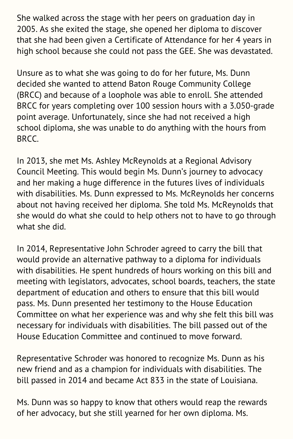She walked across the stage with her peers on graduation day in 2005. As she exited the stage, she opened her diploma to discover that she had been given a Certificate of Attendance for her 4 years in high school because she could not pass the GEE. She was devastated.

Unsure as to what she was going to do for her future, Ms. Dunn decided she wanted to attend Baton Rouge Community College (BRCC) and because of a loophole was able to enroll. She attended BRCC for years completing over 100 session hours with a 3.050-grade point average. Unfortunately, since she had not received a high school diploma, she was unable to do anything with the hours from BRCC.

In 2013, she met Ms. Ashley McReynolds at a Regional Advisory Council Meeting. This would begin Ms. Dunn's journey to advocacy and her making a huge difference in the futures lives of individuals with disabilities. Ms. Dunn expressed to Ms. McReynolds her concerns about not having received her diploma. She told Ms. McReynolds that she would do what she could to help others not to have to go through what she did.

In 2014, Representative John Schroder agreed to carry the bill that would provide an alternative pathway to a diploma for individuals with disabilities. He spent hundreds of hours working on this bill and meeting with legislators, advocates, school boards, teachers, the state department of education and others to ensure that this bill would pass. Ms. Dunn presented her testimony to the House Education Committee on what her experience was and why she felt this bill was necessary for individuals with disabilities. The bill passed out of the House Education Committee and continued to move forward.

Representative Schroder was honored to recognize Ms. Dunn as his new friend and as a champion for individuals with disabilities. The bill passed in 2014 and became Act 833 in the state of Louisiana.

Ms. Dunn was so happy to know that others would reap the rewards of her advocacy, but she still yearned for her own diploma. Ms.